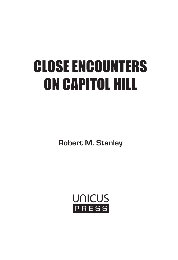# CLOSE ENCOUNTERS ON CAPITOL HILL

**Robert M. Stanley**

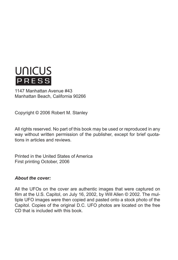

1147 Manhattan Avenue #43 Manhattan Beach, California 90266

Copyright © 2006 Robert M. Stanley

All rights reserved. No part of this book may be used or reproduced in any way without written permission of the publisher, except for brief quotations in articles and reviews.

Printed in the United States of America First printing October, 2006

#### *About the cover:*

All the UFOs on the cover are authentic images that were captured on film at the U.S. Capitol, on July 16, 2002, by Will Allen © 2002. The multiple UFO images were then copied and pasted onto a stock photo of the Capitol. Copies of the original D.C. UFO photos are located on the free CD that is included with this book.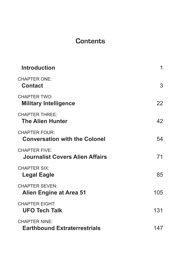#### **Contents**

| <b>Introduction</b>                                            | 1   |
|----------------------------------------------------------------|-----|
| <b>CHAPTER ONE:</b><br><b>Contact</b>                          | 3   |
| <b>CHAPTER TWO:</b><br><b>Military Intelligence</b>            | 22  |
| <b>CHAPTER THREE:</b><br><b>The Alien Hunter</b>               | 42  |
| <b>CHAPTER FOUR:</b><br><b>Conversation with the Colonel</b>   | 54  |
| <b>CHAPTER FIVE:</b><br><b>Journalist Covers Alien Affairs</b> | 71  |
| <b>CHAPTER SIX:</b><br>Legal Eagle                             | 85  |
| <b>CHAPTER SEVEN:</b><br><b>Alien Engine at Area 51</b>        | 105 |
| <b>CHAPTER EIGHT:</b><br><b>UFO Tech Talk</b>                  | 131 |
| <b>CHAPTER NINE:</b><br><b>Earthbound Extraterrestrials</b>    | 147 |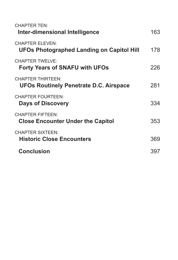| <b>CHAPTER TEN:</b><br>Inter-dimensional Intelligence           | 163 |
|-----------------------------------------------------------------|-----|
| CHAPTER FI FVEN·<br>UFOs Photographed Landing on Capitol Hill   | 178 |
| <b>CHAPTER TWELVE:</b><br><b>Forty Years of SNAFU with UFOs</b> | 226 |
| CHAPTER THIRTEEN.<br>UFOs Routinely Penetrate D.C. Airspace     | 281 |
| <b>CHAPTER FOURTEEN:</b><br><b>Days of Discovery</b>            | 334 |
| CHAPTER FIFTEEN.<br><b>Close Encounter Under the Capitol</b>    | 353 |
| <b>CHAPTER SIXTEEN:</b><br><b>Historic Close Encounters</b>     | 369 |
| <b>Conclusion</b>                                               | 397 |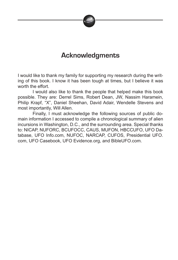

## **Acknowledgments**

I would like to thank my family for supporting my research during the writing of this book. I know it has been tough at times, but I believe it was worth the effort.

 I would also like to thank the people that helped make this book possible. They are: Derrel Sims, Robert Dean, JW, Nassim Haramein, Philip Krapf, "X", Daniel Sheehan, David Adair, Wendelle Stevens and most importantly, Will Allen.

 Finally, I must acknowledge the following sources of public domain information I accessed to compile a chronological summary of alien incursions in Washington, D.C., and the surrounding area. Special thanks to: NICAP, NUFORC, BCUFOCC, CAUS, MUFON, HBCCUFO, UFO Database, UFO Info.com, NUFOC, NARCAP, CUFOS, Presidential UFO. com, UFO Casebook, UFO Evidence.org, and BibleUFO.com.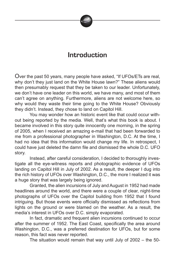

### **Introduction**

Over the past 50 years, many people have asked, "If UFOs/ETs are real, why don't they just land on the White House lawn?" These aliens would then presumably request that they be taken to our leader. Unfortunately, we don't have one leader on this world, we have many, and most of them can't agree on anything. Furthermore, aliens are not welcome here, so why would they waste their time going to the White House? Obviously they didn't. Instead, they chose to land on Capitol Hill.

 You may wonder how an historic event like that could occur without being reported by the media. Well, that's what this book is about. I became involved in this story quite innocently one morning, in the spring of 2005, when I received an amazing e-mail that had been forwarded to me from a professional photographer in Washington, D.C. At the time, I had no idea that this information would change my life. In retrospect, I could have just deleted the damn file and dismissed the whole D.C. UFO story.

 Instead, after careful consideration, I decided to thoroughly investigate all the eye-witness reports and photographic evidence of UFOs landing on Capitol Hill in July of 2002. As a result, the deeper I dug into the rich history of UFOs over Washington, D.C., the more I realized it was a huge story that was largely being ignored.

 Granted, the alien incursions of July and August in 1952 had made headlines around the world, and there were a couple of clear, night-time photographs of UFOs over the Capitol building from 1952 that I found intriguing. But those events were officially dismissed as reflections from lights on the ground or were blamed on the weather. As a result, the media's interest in UFOs over D.C. simply evaporated.

 In fact, dramatic and frequent alien incursions continued to occur after the summer of 1952. The East Coast, specifically the area around Washington, D.C., was a preferred destination for UFOs, but for some reason, this fact was never reported.

The situation would remain that way until July of 2002 – the 50-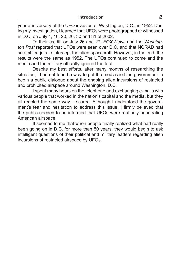year anniversary of the UFO invasion of Washington, D.C., in 1952. During my investigation, I learned that UFOs were photographed or witnessed in D.C. on July 4, 16, 20, 26, 30 and 31 of 2002.

 To their credit, on July 26 and 27, *FOX News* and the *Washington Post* reported that UFOs were seen over D.C. and that NORAD had scrambled jets to intercept the alien spacecraft. However, in the end, the results were the same as 1952. The UFOs continued to come and the media and the military officially ignored the fact.

 Despite my best efforts, after many months of researching the situation, I had not found a way to get the media and the government to begin a public dialogue about the ongoing alien incursions of restricted and prohibited airspace around Washington, D.C.

 I spent many hours on the telephone and exchanging e-mails with various people that worked in the nation's capital and the media, but they all reacted the same way – scared. Although I understood the government's fear and hesitation to address this issue, I firmly believed that the public needed to be informed that UFOs were routinely penetrating American airspace.

 It seemed to me that when people finally realized what had really been going on in D.C. for more than 50 years, they would begin to ask intelligent questions of their political and military leaders regarding alien incursions of restricted airspace by UFOs.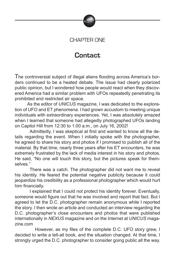

#### CHAPTER ONE

### **Contact**

The controversial subject of illegal aliens flooding across America's borders continued to be a heated debate. The issue had clearly polarized public opinion, but I wondered how people would react when they discovered America had a similar problem with UFOs repeatedly penetrating its prohibited and restricted air space.

 As the editor of *UNICUS* magazine, I was dedicated to the exploration of UFO and ET phenomena. I had grown accustom to meeting unique individuals with extraordinary experiences. Yet, I was absolutely amazed when I learned that someone had allegedly photographed UFOs landing on Capitol Hill from 12:30 to 1:00 a.m., on July 16, 2002!

 Admittedly, I was skeptical at first and wanted to know all the details regarding the event. When I initially spoke with the photographer, he agreed to share his story and photos if I promised to publish all of the material. By that time, nearly three years after his ET encounters, he was extremely frustrated by the lack of media interest in his story and photos. He said, "No one will touch this story, but the pictures speak for themselves."

 There was a catch. The photographer did not want me to reveal his identity. He feared the potential negative publicity because it could jeopardize his credibility as a professional photographer which would hurt him financially.

 I explained that I could not protect his identity forever. Eventually, someone would figure out that he was involved and report that fact. But I agreed to let the D.C. photographer remain anonymous while I reported the story. I then wrote an article and conducted an interview regarding the D.C. photographer's close encounters and photos that were published internationally in *NEXUS* magazine and on the Internet at *UNICUS* magazine.com

 However, as my files of the complete D.C. UFO story grew, I decided to write a tell-all book, and the situation changed. At that time, I strongly urged the D.C. photographer to consider going public all the way.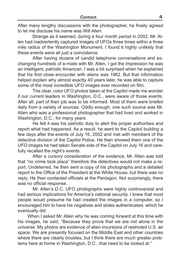After many lengthy discussions with the photographer, he finally agreed to let me disclose his name was Will Allen.

 Strange as it seemed, during a four month period in 2002, Mr. Allen had inadvertently captured images of UFOs three times within a three mile radius of the Washington Monument. I found it highly unlikely that these events were all just a coincidence.

 After having dozens of candid telephone conversations and exchanging hundreds of e-mails with Mr. Allen, I got the impression he was an intelligent, patriotic American. I was a bit surprised when he explained that his first close encounter with aliens was 1962. But that information helped explain why almost exactly 40 years later, he was able to capture some of the most incredible UFO images ever recorded on film.

 The clear, color UFO photos taken at the Capitol made me wonder if our current leaders in Washington, D.C., were aware of those events. After all, part of their job was to be informed. Most of them were briefed daily from a variety of sources. Oddly enough, one such source was Mr. Allen who was a professional photographer that had lived and worked in Washington, D.C., for many years.

 He felt it was his patriotic duty to alert the proper authorities and report what had happened. As a result, he went to the Capitol building a few days after the events of July 16, 2002 and met with members of the detective division of the Capitol Police. He then showed them one of the UFO images he had taken Senate side of the Capitol on July 16 and carefully recalled the night's events.

 After a cursory consideration of the evidence, Mr. Allen was told that "no crime took place" therefore the detectives would not make a report. Undeterred, he then sent a copy of his photographs and a detailed report to the Office of the President at the White House, but there was no reply. He then contacted officials at the Pentagon. Not surprisingly, there was no official response.

 Mr. Allen's D.C. UFO photographs were highly controversial and had serious implications for America's national security. I knew that most people would presume he had created the images in a computer, so I encouraged him to have his negatives and slides authenticated, which he eventually did.

 When I asked Mr. Allen why he was coming forward at this time with his images, he said, "Because they prove that we are not alone in the universe. My photos are evidence of alien incursions of restricted U.S. air space. We are presently focused on the Middle East and other countries where there are clearly troubles, but I think there are much greater problems here at home in Washington, D.C., that need to be looked at."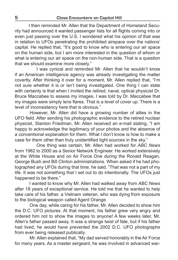I then reminded Mr. Allen that the Department of Homeland Security had announced it wanted passenger lists for all flights coming into or even just passing over the U.S. I wondered what his opinion of that was in relation to UFOs penetrating the prohibited airspace over the nations' capital. He replied that, "It's good to know who is entering our air space on the human side, but I am more interested in the question of whom or what is entering our air space on the non-human side. That is a question that we should examine more closely."

 I was cynical and reminded Mr. Allen that he wouldn't know if an American intelligence agency was already investigating the matter covertly. After thinking it over for a moment, Mr. Allen replied that, "I'm not sure whether it is or isn't being investigated. One thing I can state with certainty is that when I invited the retired, naval, optical physicist Dr. Bruce Maccabee to assess my images, I was told by Dr. Maccabee that my images were simply lens flares. That is a level of cover up. There is a level of inconsistency here that is obvious."

 However, Mr. Allen did have a growing number of allies in the UFO field. After sending his photographic evidence to the retired nuclear physicist, Stanton Friedman, Mr. Allen received an e-mail stating, "I am happy to acknowledge the legitimacy of your photos and the absence of a conventional explanation for them. What I don't know is how to make a case for them other than truly unidentified light sources in the sky."

 One thing was certain, Mr. Allen had worked for *ABC News* from 1982 to 2000 as a Senior Network Engineer. He worked extensively at the White House and on Air Force One during the Ronald Reagan, George Bush and Bill Clinton administrations. When asked if he had photographed any UFOs during that time, he said, "That was not a part of my life. It was not something that I set out to do intentionally. The UFOs just happened to be there."

 I wanted to know why Mr. Allen had walked away from *ABC News* after 18 years of exceptional service. He told me that he wanted to help take care of his father, a Vietnam veteran, who was dying from exposure to the biological weapon called Agent Orange.

 One day, while caring for his father, Mr. Allen decided to show him the D.C. UFO pictures. At that moment, his father grew very angry and ordered him not to show the images to anyone! A few weeks later, Mr. Allen's father passed away. It was a strange twist of fate, but if his father had lived, he would have prevented the 2002 D.C. UFO photographs from ever being released publically.

 Mr. Allen explained that, "My dad served honorably in the Air Force for many years. As a master sergeant, he was involved in advanced war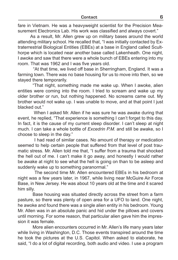fare in Vietnam. He was a heavyweight scientist for the Precision Measurement Electronics Lab. His work was classified and always covert."

 As a result, Mr. Allen grew up on military bases around the world attending military school. He recalled that, "I was initially contacted by Extraterrestrial Biological Entities (EBEs) at a base in England called Sculthorpe which is located near another base called Lakenheath. One night, I awoke and saw that there were a whole bunch of EBEs entering into my room. That was 1962 and I was five years old.

 "At that time, we lived off base in Sherringham, England. It was a farming town. There was no base housing for us to move into then, so we stayed there temporarily.

 "That night, something made me wake up. When I awoke, alien entities were coming into the room. I tried to scream and wake up my older brother or run, but nothing happened. No screams came out. My brother would not wake up. I was unable to move, and at that point I just blacked out."

 When I asked Mr. Allen if he was sure he was awake during that event, he replied, "That experience is something I can't forget to this day. In fact, it is the cause of my current sleep disorder. I can't sleep at night much. I can take a whole bottle of *Excedrin P.M.* and still be awake, so I choose to sleep in the day."

 I had read of similar cases. No amount of therapy or medication seemed to help certain people that suffered from that level of post traumatic stress. Mr. Allen told me that, "I suffer from a trauma that shocked the hell out of me. I can't make it go away, and honestly I would rather be awake at night to see what the hell is going on than to be asleep and suddenly wake up to something paranormal."

 The second time Mr. Allen encountered EBEs in his bedroom at night was a few years later, in 1967, while living near McGuire Air Force Base, in New Jersey. He was about 10 years old at the time and it scared him silly.

 Base housing was situated directly across the street from a farm pasture, so there was plenty of open area for a UFO to land. One night, he awoke and found there was a single alien entity in his bedroom. Young Mr. Allen was in an absolute panic and hid under the pillows and covers until morning. For some reason, that particular alien gave him the impression it was female.

 More alien encounters occurred in Mr. Allen's life many years later while living in Washington, D.C. Those events transpired around the time he took the pictures at the U.S. Capitol. When asked to elaborate, he said, "I do a lot of digital recording, both audio and video. I use a program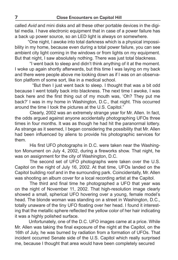called *Avid* and mini disks and all these other portable devices in the digital media. I have electronic equipment that in case of a power failure has a back up power source, so an LED light is always on somewhere.

 "One night, I awoke into total darkness which is a physical impossibility in my home, because even during a total power failure, you can see ambient city light coming in the windows or from lights on my equipment. But that night, I saw absolutely nothing. There was just total blackness.

 "I went back to sleep and didn't think anything of it at the moment. I woke up again shortly afterwards, but this time I was laying on my back and there were people above me looking down as if I was on an observation platform of some sort, like in a medical school.

 "But then I just went back to sleep. I thought that was a bit odd because I went totally back into blackness. The next time I awoke, I was back here and the first thing out of my mouth was, 'Oh? They put me back?' I was in my home in Washington, D.C., that night. This occurred around the time I took the pictures at the U.S. Capitol."

 Clearly, 2002 was an extremely strange year for Mr. Allen. In fact, the odds argued against anyone accidentally photographing UFOs three times in four months. It was as though he had hit the paranormal lottery. As strange as it seemed, I began considering the possibility that Mr. Allen had been influenced by aliens to provide his photographic services for them.

 His first UFO photographs in D.C. were taken near the Washington Monument on July 4, 2002, during a fireworks show. That night, he was on assignment for the city of Washington, D.C.

 The second set of UFO photographs were taken over the U.S. Capitol on the night of July 16, 2002. At that time, UFOs landed on the Capitol building roof and in the surrounding park. Coincidentally, Mr. Allen was shooting an album cover for a local recording artist at the Capitol.

 The third and final time he photographed a UFO that year was on the night of November 11, 2002. That high-resolution image clearly showed a small, spherical UFO hovering over a young, female model's head. The blonde woman was standing on a street in Washington, D.C., totally unaware of the tiny UFO floating over her head. I found it interesting that the metallic sphere reflected the yellow color of her hair indicating it was a highly polished surface.

 Unfortunately, one of the D.C. UFO images came at a price. While Mr. Allen was taking the final exposure of the night at the Capitol, on the 16th of July, he was burned by radiation from a formation of UFOs. That incident occurred Senate side of the U.S. Capitol which really surprised me, because I thought that area would have been completely secured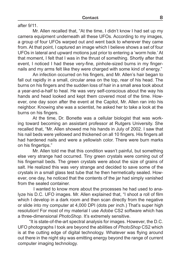after 9/11.

 Mr. Allen recalled that, "At the time, I didn't know I had set up my camera equipment underneath all these UFOs. According to my images, a group of four UFOs warped out and went back to wherever they came from. At that point, I captured an image which I believe shows a set of four UFOs in lateral and upward motions just prior to entering a 'worm hole.' At that moment, I felt that I was in the thrust of something. Shortly after that event, I noticed I had these very-fine, pinhole-sized burns in my fingernails and my arms felt like they were charged with some kind of energy."

 An infection occurred on his fingers, and Mr. Allen's hair began to fall out rapidly in a small, circular area on the top, rear of his head. The burns on his fingers and the sudden loss of hair in a small area took about a year-and-a-half to heal. He was very self-conscious about the way his hands and head looked and kept them covered most of the time. However, one day soon after the event at the Capitol, Mr. Allen ran into his neighbor. Knowing she was a scientist, he asked her to take a look at the burns on his fingers.

 At the time, Dr. Bonette was a cellular biologist that was working toward becoming an assistant professor at Rutgers University. She recalled that, "Mr. Allen showed me his hands in July of 2002. I saw that his nail beds were yellowed and thickened on all 10 fingers. His fingers all had hardened nails and were a yellowish color. There were burn marks on his fingertips."

 Mr. Allen told me that this condition wasn't painful, but something else very strange had occurred. Tiny green crystals were coming out of his fingernail beds. The green crystals were about the size of grains of salt. He realized this was very strange and decided to save some of the crystals in a small glass test tube that he then hermetically sealed. However, one day, he noticed that the contents of the jar had simply vanished from the sealed container.

 I wanted to know more about the processes he had used to analyze his D.C. UFO images. Mr. Allen explained that, "I shoot a roll of film which I develop in a dark room and then scan directly from the negative or slide into my computer at 4,000 DPI (dots per inch.) That's super high resolution! For most of my material I use *Adobe* CS2 software which has a three-dimensional *PhotoShop*. It's extremely sensitive.

 "It is state-of-the-art spectral analysis for images. However, the D.C. UFO photographs I took are beyond the abilities of *PhotoShop* CS2 which is at the cutting edge of digital technology. Whatever was flying around out there in the night sky was emitting energy beyond the range of current computer imaging technology.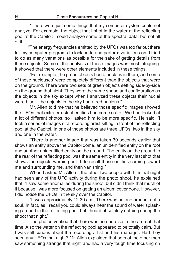"There were just some things that my computer system could not analyze. For example, the object that I shot in the water at the reflecting pool at the Capitol; I could analyze some of the spectral data, but not all of it.

 "The energy frequencies emitted by the UFOs was too far out there for my computer programs to lock on to and perform variations on. I tried to do as many variations as possible for the sake of getting details from these objects. Some of the analysis of these images was most intriguing. It showed that there were other elements included in these things.

 "For example, the green objects had a nucleus in them, and some of these nucleuses' were completely different than the objects that were on the ground. There were two sets of green objects setting side-by-side on the ground that night. They were the same shape and configuration as the objects in the sky except when I analyzed these objects their nuclei were blue – the objects in the sky had a red nucleus."

 Mr. Allen told me that he believed those specific images showed the UFOs that extraterrestrial entities had come out of. We had looked at a lot of different photos, so I asked him to be more specific. He said, "I took a series of images of a recording artist sitting in front of the reflecting pool at the Capitol. In one of those photos are three UFOs; two in the sky and one in the water.

 "There is another image that was taken 30 seconds earlier that shows an entity above the Capitol dome, an unidentified entity on the roof and another unidentified entity on the ground. The entity on the ground to the rear of the reflecting pool was the same entity in the very last shot that shows the objects warping out. I do recall these entities coming toward me and surrounding me, and then vanishing."

 When I asked Mr. Allen if the other two people with him that night had seen any of the UFO activity during the photo shoot, he explained that, "I saw some anomalies during the shoot, but didn't think that much of it because I was more focused on getting an album cover done. However, I did notice the UFOs in the sky over the Capitol.

 "It was approximately 12:30 a.m. There was no one around; not a soul. In fact, as I recall you could always hear the sound of water splashing around in the reflecting pool, but I heard absolutely nothing during the shoot that night."

 The photos verified that there was no one else in the area at that time. Also the water on the reflecting pool appeared to be totally calm. But I was still curious about the recording artist and his manager. Had they seen any UFOs that night? Mr. Allen explained that both of the other men saw something strange that night and had a very tough time focusing on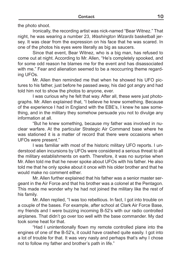the photo shoot.

 Ironically, the recording artist was nick-named "Bear Witnez." That night, he was wearing a number 23, *Washington Wizards* basketball jersey. It was clear from the expression on his face that he was scared. In one of the photos his eyes were literally as big as saucers.

 Since that event, Bear Witnez, who is a big man, has refused to come out at night. According to Mr. Allen, "He's completely spooked, and for some odd reason he blames me for the event and has disassociated with me." Fear and alienation seemed to be a reoccurring theme regarding UFOs.

 Mr. Allen then reminded me that when he showed his UFO pictures to his father, just before he passed away, his dad got angry and had told him not to show the photos to anyone, ever.

 I was curious why he felt that way. After all, these were just photographs. Mr. Allen explained that, "I believe he knew something. Because of the experience I had in England with the EBE's, I knew he saw something, and in the military they somehow persuade you not to divulge any information at all.

 "But he knew something, because my father was involved in nuclear warfare. At the particular Strategic Air Command base where he was stationed it is a matter of record that there were occasions when UFOs were present."

 I was familiar with most of the historic military UFO reports. I understood alien incursions by UFOs were considered a serious threat to all the military establishments on earth. Therefore, it was no surprise when Mr. Allen told me that he never spoke about UFOs with his father. He also told me that he only spoke about it once with his older brother and that he would make no comment either.

 Mr. Allen further explained that his father was a senior master sergeant in the Air Force and that his brother was a colonel at the Pentagon. This made me wonder why he had not joined the military like the rest of his family.

 Mr. Allen replied, "I was too rebellious. In fact, I got into trouble on a couple of the bases. For example, after school at Clark Air Force Base, my friends and I were buzzing incoming B-52's with our radio controlled airplanes. That didn't go over too well with the base commander. My dad took some heat for that.

 "Had I unintentionally flown my remote controlled plane into the engines of one of the B-52's, it could have crashed quite easily. I got into a lot of trouble for that. It was very nasty and perhaps that's why I chose not to follow my father and brother's path in life."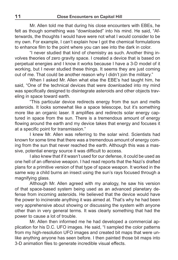Mr. Allen told me that during his close encounters with EBEs, he felt as though something was "downloaded" into his mind. He said, "Afterwards, the thoughts I would have were not what I would consider to be my own. For example, I can't explain how I got the chemical formulations to enhance film to the point where you can see into the dark in color.

 "I never studied that kind of chemistry as such. Another thing involves theories of zero gravity space. I created a device that is based on perpetual energies and I know it works because I have a 3-D model of it working, but I never studied these things. It seems they are just coming out of me. That could be another reason why I didn't join the military."

 When I asked Mr. Allen what else the EBE's had taught him, he said, "One of the technical devices that were downloaded into my mind was specifically designed to disintegrate asteroids and other objects traveling in space toward earth.

 "This particular device redirects energy from the sun and melts asteroids. It looks somewhat like a space telescope, but it's something more like an organic laser. It amplifies and redirects solar energy captured in space from the sun. There is a tremendous amount of energy flowing around the earth and my device takes that energy and focuses it at a specific point for transmission."

 I knew Mr. Allen was referring to the solar wind. Scientists had known for some time that there was a tremendous amount of energy coming from the sun that never reached the earth. Although this was a massive, potential energy source it was difficult to access.

 I also knew that if it wasn't used for our defense, it could be used as one hell of an offensive weapon. I had read reports that the Nazi's drafted plans for a primitive version of that type of space weapon. It worked in the same way a child burns an insect using the sun's rays focused through a magnifying glass.

 Although Mr. Allen agreed with my analogy, he saw his version of that space-based system being used as an advanced planetary defense from incoming asteroids. He believed that the device would have the power to incinerate anything it was aimed at. That's why he had been very apprehensive about showing or discussing the system with anyone other than in very general terms. It was clearly something that had the power to cause a lot of trouble.

 Mr. Allen then informed me he had developed a commercial application for his D.C. UFO images. He said, "I sampled the color patterns from my high-resolution UFO images and created bit maps that were unlike anything anyone has seen before. I then painted those bit maps into 3-D animation files to generate incredible visual effects.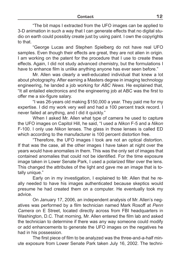"The bit maps I extracted from the UFO images can be applied to 3-D animation in such a way that I can generate effects that no digital studio on earth could possibly create just by using paint. I own the copyrights to that.

 "George Lucas and Stephen Spielberg do not have real UFO samples. Even though their effects are great, they are not alien in origin. I am working on the patent for the procedure that I use to create these effects. Again, I did not study advanced chemistry, but the formulations I have to enhance film is unlike anything anyone has ever seen before."

 Mr. Allen was clearly a well-educated individual that knew a lot about photography. After earning a Masters degree in imaging technology engineering, he landed a job working for *ABC News*. He explained that, "It all entailed electronics and the engineering job at ABC was the first to offer me a six-figure salary.

 "I was 26-years old making \$150,000 a year. They paid me for my expertise. I did my work very well and had a 100 percent track record. I never failed at anything, and I did it quickly."

 When I asked Mr. Allen what type of camera he used to capture the UFO images on Capitol Hill, he said, "I used a *Nikon* F-5 and a *Nikon* F-100. I only use *Nikon* lenses. The glass in those lenses is called ED which according to the manufacturer is 100 percent distortion free.

 "Therefore, the UFO images I took are not an optical distortion. If that was the case, all the other images I have taken at night over the years would have anomalies in them. This was the only set of images that contained anomalies that could not be identified. For the time exposure image taken in Lower Senate Park, I used a polarized filter over the lens. This changed the attributes of the light and gave me an image that is totally unique."

 Early on in my investigation, I explained to Mr. Allen that he really needed to have his images authenticated because skeptics would presume he had created them on a computer. He eventually took my advice.

 On January 17, 2006, an independent analysis of Mr. Allen's negatives was performed by a film technician named Mark Rosoff at *Penn Camera* on E Street, located directly across from FBI headquarters in Washington, D.C. That morning, Mr. Allen entered the film lab and asked the technician to determine if there was any way someone could modify or add enhancements to generate the UFO images on the negatives he had in his possession.

 The first piece of film to be analyzed was the three-and-a-half minute exposure from Lower Senate Park taken July 16, 2002. The techni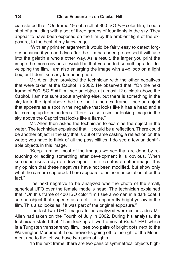cian stated that, "On frame 19a of a roll of 800 ISO *Fuji* color film, I see a shot of a building with a set of three groups of four lights in the sky. They appear to have been exposed on the film by the ambient light of the exposure, to the best of my knowledge.

 "With any print enlargement it would be fairly easy to detect forgery because if you add dye after the film has been processed it will fuse into the gelatin a whole other way. As a result, the larger you print the image the more obvious it would be that you added something after developing the film. I am also enlarging the image with a 4x loop on a light box, but I don't see any tampering here."

 Mr. Allen then provided the technician with the other negatives that were taken at the Capitol in 2002. He observed that, "On the next frame of 800 ISO *Fuji* film I see an object at almost 12 o' clock above the Capitol. I am not sure about anything else, but there is something in the sky far to the right above the tree line. In the next frame, I see an object that appears as a spot in the negative that looks like it has a head and a tail coming up from the trees. There is also a similar looking image in the sky above the Capitol that looks like a flame."

 Mr. Allen then asked the technician to examine the object in the water. The technician explained that, "It could be a reflection. There could be another object in the sky that is out of frame casting a reflection on the water; you have to think of all the possibilities. I do see a few unidentifiable objects in this image.

 "Keep in mind, most of the images we see that are done by retouching or adding something after development it is obvious. When someone uses a dye on developed film, it creates a softer image. It is my opinion that these negatives have not been modified, but show only what the camera captured. There appears to be no manipulation after the fact"

 The next negative to be analyzed was the photo of the small, spherical UFO over the female model's head. The technician explained that, "On this frame of 400 ISO color film I see a woman in a dark coat. I see an object that appears as a dot. It is apparently bright yellow in the film. This also looks as if it was part of the original exposure."

 The last two UFO images to be analyzed were color slides Mr. Allen had taken on the Fourth of July in 2002. During his analysis, the technician stated that, "I am looking at two frames of *Kodak* EPT which is a Tungsten transparency film. I see two pairs of bright dots next to the Washington Monument. I see fireworks going off to the right of the Monument and to the left we have two pairs of lights.

"In the next frame, there are two pairs of symmetrical objects high-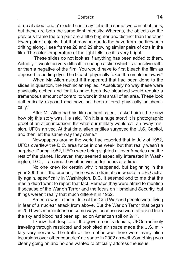er up at about one o' clock. I can't say if it is the same two pair of objects, but these are both the same light intensity. Whereas, the objects on the previous frame the top pair are a little brighter and distinct than the other lower pair of objects, but that may be due to the haze from the fireworks drifting along. I see frames 28 and 29 showing similar pairs of dots in the film. The color temperature of the light tells me it is very bright.

 "These slides do not look as if anything has been added to them. Actually, it would be very difficult to change a slide which is a positive rather than a negative of the film. You would have to first bleach the film as opposed to adding dye. The bleach physically takes the emulsion away."

 When Mr. Allen asked if it appeared that had been done to the slides in question, the technician replied, "Absolutely no way these were physically etched and for it to have been dye bleached would require a tremendous amount of control to work in that small of an area. These look authentically exposed and have not been altered physically or chemically."

 After Mr. Allen had his film authenticated, I asked him if he knew how big this story was. He said, "Oh it is a huge story! It is photographic proof of an alien incursion. It's what our military would call an away mission. UFOs arrived. At that time, alien entities surveyed the U.S. Capitol, and then left the same way they came."

 Newspapers around the world had reported that in July of 1952, UFOs overflew the D.C. area twice in one week, but that really wasn't a surprise. During 1952, UFOs were being sighted all over America and the rest of the planet. However, they seemed especially interested in Washington, D.C., – an area they often visited for hours at a time.

 No one knew for certain why it happened, but beginning in the year 2000 until the present, there was a dramatic increase in UFO activity again, specifically in Washington, D.C. It seemed odd to me that the media didn't want to report that fact. Perhaps they were afraid to mention it because of the War on Terror and the focus on Homeland Security, but things weren't really that much different in 1952.

 America was in the middle of the Cold War and people were living in fear of a nuclear attack from above. But the War on Terror that began in 2001 was more intense in some ways, because we were attacked from the sky and blood had been spilled on American soil on 9/11.

 I knew that despite all the government's denials, UFOs routinely traveling through restricted and prohibited air space made the U.S. military very nervous. The truth of the matter was there were many alien incursions over other countries' air space in 2002 as well. Something was clearly going on and no one wanted to officially address the issue.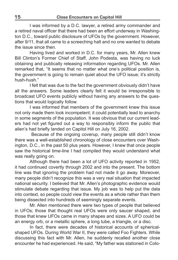I was informed by a D.C. lawyer, a retired army commander and a retired naval officer that there had been an effort underway in Washington D.C., toward public disclosure of UFOs by the government. However, after 9/11, that all came to a screeching halt and no one wanted to debate the issue since then.

 Having lived and worked in D.C. for many years, Mr. Allen knew Bill Clinton's Former Chief of Staff, John Podesta, was having no luck obtaining and publically releasing information regarding UFOs. Mr. Allen remarked that, "It seems that no matter what one's political position is, the government is going to remain quiet about the UFO issue; it's strictly hush-hush."

 I felt that was due to the fact the government obviously didn't have all the answers. Some leaders clearly felt it would be irresponsible to broadcast UFO events publicly without having any answers to the questions that would logically follow.

 I was informed that members of the government knew this issue not only made them look incompetent; it could potentially lead to anarchy in some segments of the population. It was obvious that our current leaders had not yet figured out a way to responsibly inform the public that alien's had briefly landed on Capitol Hill on July 16, 2002.

 Because of the ongoing coverup, many people still didn't know there was a well-established chronology of close encounters over Washington, D.C., in the past 50 plus years. However, I knew that once people saw the historical time-line I had compiled they would understand what was really going on.

 Although there had been a lot of UFO activity reported in 1952, it had continued covertly through 2002 and into the present. The bottom line was that ignoring the problem had not made it go away. Moreover, many people didn't recognize this was a very real situation that impacted national security. I believed that Mr. Allen's photographic evidence would stimulate debate regarding that issue. My job was to help put the data into context, so people could view the events as a whole rather than them being dissected into hundreds of seemingly separate events.

 Mr. Allen mentioned there were two types of people that believed in UFOs; those that thought real UFOs were only saucer shaped, and those that knew UFOs came in many shapes and sizes. A UFO could be an energy orb, or a metallic sphere, a long tube, a triangle, or a disc.

 In fact, there were decades of historical accounts of sphericalshaped UFOs. During World War II, they were called Foo Fighters. While discussing this fact with Mr. Allen, he suddenly recalled another close encounter he had experienced. He said, "My father was stationed in Colo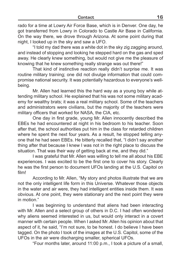rado for a time at Lowry Air Force Base, which is in Denver. One day, he got transferred from Lowry in Colorado to Castle Air Base in California. On the way there, we drove through Arizona. At some point during that night, I looked up in the sky and saw a UFO.

 "I told my dad there was a white dot in the sky zig zagging around, and instead of stopping and looking he stepped hard on the gas and sped away. He clearly knew something, but would not give me the pleasure of knowing that he knew something really strange was out there!"

 That kind of instinctive reaction really didn't surprise me. It was routine military training; one did not divulge information that could compromise national security. It was potentially hazardous to everyone's wellbeing.

 Mr. Allen had learned this the hard way as a young boy while attending military school. He explained that his was not some military academy for wealthy brats; it was a real military school. Some of the teachers and administrators were civilians, but the majority of the teachers were military officers that worked for NASA, the CIA, etc.

 One day in first grade, young Mr. Allen innocently described the EBEs he had encountered at night in his bedroom to his teacher. Soon after that, the school authorities put him in the class for retarded children where he spent the next four years. As a result, he stopped telling anyone that he had seen EBEs. He bitterly recalled that, "I didn't say another thing after that because I knew I was not in the right place to discuss the situation. That was their way of getting back at me, and they did."

 I was grateful that Mr. Allen was willing to tell me all about his EBE experiences. I was excited to be the first one to cover his story. Clearly he was the first person to document UFOs landing at the U.S. Capitol on film!

 According to Mr. Allen, "My story and photos illustrate that we are not the only intelligent life form in this Universe. Whatever those objects in the water and air were, they had intelligent entities inside them. It was obvious. At one point, they were stationary and the next point they were in motion."

 I was beginning to understand that aliens had been interacting with Mr. Allen and a select group of others in D.C. I had often wondered why aliens seemed interested in us, but would only interact in a covert manner with certain people. When I asked Mr. Allen his opinion about that aspect of it, he said, "I'm not sure, to be honest. I do believe I have been tagged. On the photo I took of the images at the U.S. Capitol, some of the UFOs in the air were discharging smaller, spherical UFOs.

"Four months later, around 11:00 p.m., I took a picture of a small,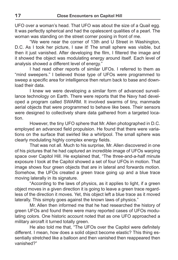UFO over a woman's head. That UFO was about the size of a Quail egg. It was perfectly spherical and had the opalescent qualities of a pearl. The woman was standing on the street corner posing in front of me.

 "We were near the corner of 13th and U Street in Washington, D.C. As I took her picture, I saw it! The small sphere was visible, but then it just vanished. After developing the film, I filtered the image and it showed the object was modulating energy around itself. Each level of analysis showed a different level of energy."

 I had read other reports of similar UFOs. I referred to them as "mind sweepers." I believed those type of UFOs were programmed to sweep a specific area for intelligence then return back to base and download their data.

 I knew we were developing a similar form of advanced surveillance technology on Earth. There were reports that the Navy had developed a program called SWARM. It involved swarms of tiny, manmade aerial objects that were programmed to behave like bees. Their sensors were designed to collectively share data gathered from a targeted location.

 However, the tiny UFO sphere that Mr. Allen photographed in D.C. employed an advanced field propulsion. He found that there were variations on the surface that swirled like a whirlpool. The small sphere was clearly modulating highly complex energy fields.

 That was not all. Much to his surprise, Mr. Allen discovered in one of his pictures that he had captured an incredible image of UFOs warping space over Capitol Hill. He explained that, "The three-and-a-half minute exposure I took at the Capitol showed a set of four UFOs in motion. That image shows four green objects that are in lateral and forwards motion. Somehow, the UFOs created a green trace going up and a blue trace moving laterally in its signature.

 "According to the laws of physics, as it applies to light, if a green object moves in a given direction it is going to leave a green trace regardless of the direction it moves. Yet, this object left a blue trace as it moved laterally. This simply goes against the known laws of physics."

 Mr. Allen then informed me that he had researched the history of green UFOs and found there were many reported cases of UFOs modulating colors. One historic account noted that as one UFO approached a military aircraft it turned totally green.

 He also told me that, "The UFOs over the Capitol were definitely different. I mean, how does a solid object become elastic? This thing essentially stretched like a balloon and then vanished then reappeared then vanished?"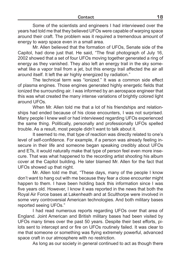Some of the scientists and engineers I had interviewed over the years had told me that they believed UFOs were capable of warping space around their craft. The problem was it required a tremendous amount of energy to warp space even in a small area.

 Mr. Allen believed that the formation of UFOs, Senate side of the Capitol, had done just that. He said, "The final photograph of July 16, 2002 showed that a set of four UFOs moving together generated a ring of energy as they vanished. They also left an energy trail in the sky somewhat like a vapor trail from a jet, but this energy trail affected the air all around itself. It left the air highly energized by radiation."

 The technical term was "ionized." It was a common side effect of plasma engines. Those engines generated highly energetic fields that ionized the surrounding air. I was informed by an aerospace engineer that this was what created the many intense variations of brightly colored light around UFOs.

 When Mr. Allen told me that a lot of his friendships and relationships had ended because of his close encounters, I was not surprised. Many people I knew well or had interviewed regarding UFOs experienced the same thing. Politically, personally and professionally UFOs spelled trouble. As a result, most people didn't want to talk about it.

 It seemed to me, that type of reaction was directly related to one's level of self-confidence. For example, if a person was already feeling insecure in their life and someone began speaking credibly about UFOs and ETs, it would naturally make that type of person feel even more insecure. That was what happened to the recording artist shooting his album cover at the Capitol building. He later blamed Mr. Allen for the fact that UFOs showed up that night.

 Mr. Allen told me that, "These days, many of the people I know don't want to hang out with me because they fear a close encounter might happen to them. I have been holding back this information since I was five years old. However, I know it was reported in the news that both the Royal Air Force bases at Lakenheath and at Sculthorpe were involved in some very controversial American technologies. And both military bases reported seeing UFOs."

 I had read numerous reports regarding UFOs over that area of England. Joint American and British military bases had been visited by UFOs many times over the past 50 years. Despite their best efforts, pilots sent to intercept and or fire on UFOs routinely failed. It was clear to me that someone or something was flying extremely powerful, advanced space craft in our atmosphere with no restriction.

As long as our society in general continued to act as though there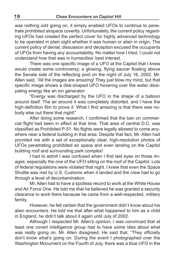was nothing odd going on, it simply enabled UFOs to continue to penetrate prohibited airspace covertly. Unfortunately, the current policy regarding UFOs had created the perfect cover for highly advanced technology to be operated in plain sight whether it was human or alien in origin. The current policy of denial, dissuasion and deception excused the occupants of UFOs from having any accountability. No matter how I tried, I could not understand how that was in humanities' best interest.

 There was one specific image of a UFO at the Capitol that I knew would create some controversy; a glowing, flying saucer floating above the Senate side of the reflecting pool on the night of July 16, 2002. Mr. Allen said, "All the images are amazing! They just blow my mind, but that specific image shows a disk-shaped UFO hovering over the water dissipating energy like an ion generator.

 "Energy was discharged by the UFO in the shape of a balloon around itself. The air around it was completely distorted, and I have the high-definition film to prove it. What I find amazing is that there was nobody else out there that night!"

 After doing some research, I confirmed that the ban on commercial flight had been in effect at that time. That area of central D.C. was classified as Prohibited P-51. No flights were legally allowed to come anywhere near a federal building in that area. Despite that fact, Mr. Allen had provided me with a set of exceptionally clear, high-resolution photos of UFOs penetrating prohibited air space and even landing on the Capitol building roof and surrounding park complex!

 I had to admit I was confused when I first laid eyes on those images; especially the one of the UFO sitting on the roof of the Capitol. Lots of federal regulations were violated that night. I knew that even the Space Shuttle was met by U.S. Customs when it landed and the crew had to go through a level of decontamination.

 Mr. Allen had to have a spotless record to work at the White House and Air Force One. He told me that he believed he was granted a security clearance to work there because he came from a well-respected, military family.

 However, he felt certain that the government didn't know about his alien encounters. He told me that after what happened to him as a child in England, he didn't talk about it again until July of 2002.

 Although I respected Mr. Allen's opinion, I was convinced that at least one covert intelligence group had to have some idea about what was really going on. Mr. Allen disagreed. He said that, "They officially don't know what's going on. During the event I photographed over the Washington Monument on the Fourth of July, there was a blue UFO in the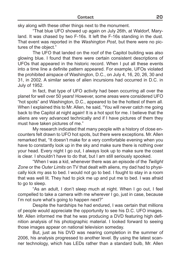sky along with these other things next to the monument.

 "That blue UFO showed up again on July 26th, at Waldorf, Maryland. It was chased by two F-16s. It left the F-16s standing in the dust. That event was reported in the *Washington Post*, but there were no pictures of the object."

 The UFO that landed on the roof of the Capitol building was also glowing blue. I found that there were certain consistent descriptions of UFOs that appeared in the historic record. When I put all these events into a time line a definite pattern appeared. For example, UFOs violated the prohibited airspace of Washington, D.C., on July 4, 16, 20, 26, 30 and 31, in 2002. A similar series of alien incursions had occurred in D.C. in July of 1952.

 In fact, that type of UFO activity had been occurring all over the planet for well over 50 years! However, some areas were considered UFO "hot spots" and Washington, D.C., appeared to be the hottest of them all. When I explained this to Mr. Allen, he said, "You will never catch me going back to the Capitol at night again! It is a hot spot for me. I believe that the aliens are very advanced technically and if I have pictures of them they must have taken pictures of me."

 My research indicated that many people with a history of close encounters felt drawn to UFO hot spots, but there were exceptions. Mr. Allen remarked that, "It doesn't make for a very comfortable evening when you have to constantly look up in the sky and make sure there is nothing over your head. Every night I go out, I always look up to make sure the coast is clear. I shouldn't have to do that, but I am still seriously spooked.

 "When I was a kid, whenever there was an episode of the *Twilight Zone* or the *Outer Limits* on TV that dealt with aliens, my dad had to physically kick my ass to bed. I would not go to bed. I fought to stay in a room that was well lit. They had to pick me up and put me to bed. I was afraid to go to sleep.

 "As an adult, I don't sleep much at night. When I go out, I feel compelled to take a camera with me wherever I go, just in case, because I'm not sure what's going to happen next?"

 Despite the hardships he had endured, I was certain that millions of people would appreciate the opportunity to see his D.C. UFO images. Mr. Allen informed me that he was producing a DVD featuring high definition analysis of his photographic material. I looked forward to seeing those images appear on national television someday.

 But, just as his DVD was nearing completion in the summer of 2006, his analysis progressed to another level. By using the latest scanner technology, which has LEDs rather than a standard bulb, Mr. Allen